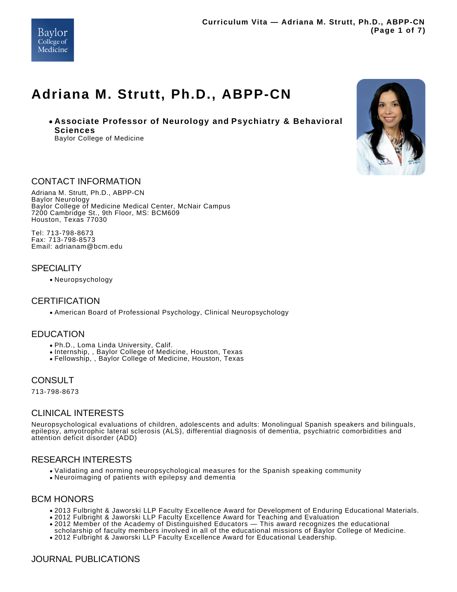

# **Adriana M. Strutt, Ph.D., ABPP-CN**

**Associate Professor of Neurology and Psychiatry & Behavioral Sciences** Baylor College of Medicine



### CONTACT INFORMATION

Adriana M. Strutt, Ph.D., ABPP-CN Baylor Neurology Baylor College of Medicine Medical Center, McNair Campus 7200 Cambridge St., 9th Floor, MS: BCM609 Houston, Texas 77030

Tel: 713-798-8673 Fax: 713-798-8573 Email: adrianam@bcm.edu

### **SPECIALITY**

Neuropsychology

# **CERTIFICATION**

American Board of Professional Psychology, Clinical Neuropsychology

#### EDUCATION

- Ph.D., Loma Linda University, Calif.
- Internship, , Baylor College of Medicine, Houston, Texas
- Fellowship, , Baylor College of Medicine, Houston, Texas

#### **CONSULT**

713-798-8673

# CLINICAL INTERESTS

Neuropsychological evaluations of children, adolescents and adults: Monolingual Spanish speakers and bilinguals, epilepsy, amyotrophic lateral sclerosis (ALS), differential diagnosis of dementia, psychiatric comorbidities and attention deficit disorder (ADD)

#### RESEARCH INTERESTS

- Validating and norming neuropsychological measures for the Spanish speaking community
- Neuroimaging of patients with epilepsy and dementia

#### BCM HONORS

- 2013 Fulbright & Jaworski LLP Faculty Excellence Award for Development of Enduring Educational Materials.
- 2012 Fulbright & Jaworski LLP Faculty Excellence Award for Teaching and Evaluation
- 2012 Member of the Academy of Distinguished Educators This award recognizes the educational
- scholarship of faculty members involved in all of the educational missions of Baylor College of Medicine.
- 2012 Fulbright & Jaworski LLP Faculty Excellence Award for Educational Leadership.

# JOURNAL PUBLICATIONS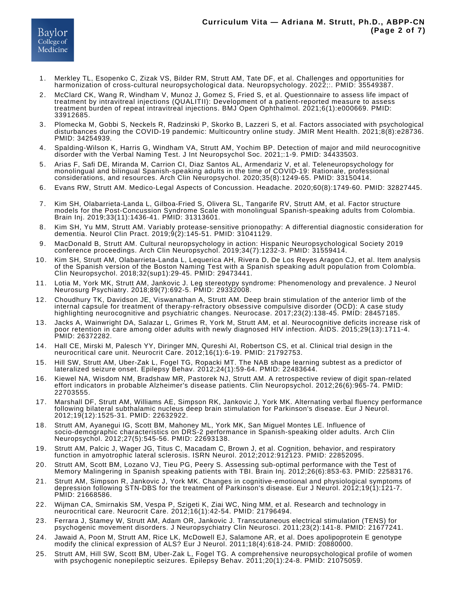- Merkley TL, Esopenko C, Zizak VS, Bilder RM, Strutt AM, Tate DF, et al. Challenges and opportunities for harmonization of cross-cultural neuropsychological data. Neuropsychology. 2022;:. PMID: 35549387. 1.
- McClard CK, Wang R, Windham V, Munoz J, Gomez S, Fried S, et al. Questionnaire to assess life impact of treatment by intravitreal injections (QUALITII): Development of a patient-reported measure to assess treatment burden of repeat intravitreal injections. BMJ Open Ophthalmol. 2021;6(1):e000669. PMID: 33912685. 2.
- Plomecka M, Gobbi S, Neckels R, Radzinski P, Skorko B, Lazzeri S, et al. Factors associated with psychological disturbances during the COVID-19 pandemic: Multicountry online study. JMIR Ment Health. 2021;8(8):e28736. PMID: 34254939. 3.
- Spalding-Wilson K, Harris G, Windham VA, Strutt AM, Yochim BP. Detection of major and mild neurocognitive disorder with the Verbal Naming Test. J Int Neuropsychol Soc. 2021;:1-9. PMID: 34433503. 4.
- Arias F, Safi DE, Miranda M, Carrion CI, Diaz Santos AL, Armendariz V, et al. Teleneuropsychology for monolingual and bilingual Spanish-speaking adults in the time of COVID-19: Rationale, professional considerations, and resources. Arch Clin Neuropsychol. 2020;35(8):1249-65. PMID: 33150414. 5.
- Evans RW, Strutt AM. Medico-Legal Aspects of Concussion. Headache. 2020;60(8):1749-60. PMID: 32827445. 6.
- Kim SH, Olabarrieta-Landa L, Gilboa-Fried S, Olivera SL, Tangarife RV, Strutt AM, et al. Factor structure models for the Post-Concussion Syndrome Scale with monolingual Spanish-speaking adults from Colombia. Brain Inj. 2019;33(11):1436-41. PMID: 31313601. 7.
- Kim SH, Yu MM, Strutt AM. Variably protease-sensitive prionopathy: A differential diagnostic consideration for dementia. Neurol Clin Pract. 2019;9(2):145-51. PMID: 31041129. 8.
- MacDonald B, Strutt AM. Cultural neuropsychology in action: Hispanic Neuropsychological Society 2019 conference proceedings. Arch Clin Neuropsychol. 2019;34(7):1232-3. PMID: 31559414. 9.
- Kim SH, Strutt AM, Olabarrieta-Landa L, Lequerica AH, Rivera D, De Los Reyes Aragon CJ, et al. Item analysis of the Spanish version of the Boston Naming Test with a Spanish speaking adult population from Colombia. Clin Neuropsychol. 2018;32(sup1):29-45. PMID: 29473441. 10.
- Lotia M, York MK, Strutt AM, Jankovic J. Leg stereotypy syndrome: Phenomenology and prevalence. J Neurol Neurosurg Psychiatry. 2018;89(7):692-5. PMID: 29332008. 11.
- Choudhury TK, Davidson JE, Viswanathan A, Strutt AM. Deep brain stimulation of the anterior limb of the internal capsule for treatment of therapy-refractory obsessive compulsive disorder (OCD): A case study highlighting neurocognitive and psychiatric changes. Neurocase. 2017;23(2):138-45. PMID: 28457185. 12.
- Jacks A, Wainwright DA, Salazar L, Grimes R, York M, Strutt AM, et al. Neurocognitive deficits increase risk of poor retention in care among older adults with newly diagnosed HIV infection. AIDS. 2015;29(13):1711-4. PMID: 26372282. 13.
- Hall CE, Mirski M, Palesch YY, Diringer MN, Qureshi AI, Robertson CS, et al. Clinical trial design in the neurocritical care unit. Neurocrit Care. 2012;16(1):6-19. PMID: 21792753. 14.
- Hill SW, Strutt AM, Uber-Zak L, Fogel TG, Ropacki MT. The NAB shape learning subtest as a predictor of lateralized seizure onset. Epilepsy Behav. 2012;24(1):59-64. PMID: 22483644. 15.
- Kiewel NA, Wisdom NM, Bradshaw MR, Pastorek NJ, Strutt AM. A retrospective review of digit span-related effort indicators in probable Alzheimer's disease patients. Clin Neuropsychol. 2012;26(6):965-74. PMID: 22703555. 16.
- Marshall DF, Strutt AM, Williams AE, Simpson RK, Jankovic J, York MK. Alternating verbal fluency performance following bilateral subthalamic nucleus deep brain stimulation for Parkinson's disease. Eur J Neurol. 2012;19(12):1525-31. PMID: 22632922. 17.
- Strutt AM, Ayanegui IG, Scott BM, Mahoney ML, York MK, San Miguel Montes LE. Influence of socio-demographic characteristics on DRS-2 performance in Spanish-speaking older adults. Arch Clin Neuropsychol. 2012;27(5):545-56. PMID: 22693138. 18.
- Strutt AM, Palcic J, Wager JG, Titus C, Macadam C, Brown J, et al. Cognition, behavior, and respiratory function in amyotrophic lateral sclerosis. ISRN Neurol. 2012;2012:912123. PMID: 22852095. 19.
- Strutt AM, Scott BM, Lozano VJ, Tieu PG, Peery S. Assessing sub-optimal performance with the Test of Memory Malingering in Spanish speaking patients with TBI. Brain Inj. 2012;26(6):853-63. PMID: 22583176. 20.
- Strutt AM, Simpson R, Jankovic J, York MK. Changes in cognitive-emotional and physiological symptoms of depression following STN-DBS for the treatment of Parkinson's disease. Eur J Neurol. 2012;19(1):121-7. PMID: 21668586. 21.
- Wijman CA, Smirnakis SM, Vespa P, Szigeti K, Ziai WC, Ning MM, et al. Research and technology in neurocritical care. Neurocrit Care. 2012;16(1):42-54. PMID: 21796494. 22.
- Ferrara J, Stamey W, Strutt AM, Adam OR, Jankovic J. Transcutaneous electrical stimulation (TENS) for psychogenic movement disorders. J Neuropsychiatry Clin Neurosci. 2011;23(2):141-8. PMID: 21677241. 23.
- Jawaid A, Poon M, Strutt AM, Rice LK, McDowell EJ, Salamone AR, et al. Does apolipoprotein E genotype modify the clinical expression of ALS? Eur J Neurol. 2011;18(4):618-24. PMID: 20880000. 24.
- Strutt AM, Hill SW, Scott BM, Uber-Zak L, Fogel TG. A comprehensive neuropsychological profile of women with psychogenic nonepileptic seizures. Epilepsy Behav. 2011;20(1):24-8. PMID: 21075059. 25.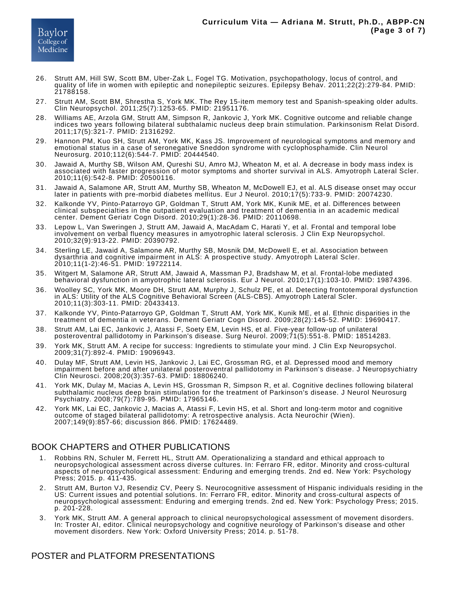

- Strutt AM, Hill SW, Scott BM, Uber-Zak L, Fogel TG. Motivation, psychopathology, locus of control, and quality of life in women with epileptic and nonepileptic seizures. Epilepsy Behav. 2011;22(2):279-84. PMID: 21788158. 26.
- Strutt AM, Scott BM, Shrestha S, York MK. The Rey 15-item memory test and Spanish-speaking older adults. Clin Neuropsychol. 2011;25(7):1253-65. PMID: 21951176. 27.
- Williams AE, Arzola GM, Strutt AM, Simpson R, Jankovic J, York MK. Cognitive outcome and reliable change indices two years following bilateral subthalamic nucleus deep brain stimulation. Parkinsonism Relat Disord. 2011;17(5):321-7. PMID: 21316292. 28.
- Hannon PM, Kuo SH, Strutt AM, York MK, Kass JS. Improvement of neurological symptoms and memory and emotional status in a case of seronegative Sneddon syndrome with cyclophosphamide. Clin Neurol Neurosurg. 2010;112(6):544-7. PMID: 20444540. 29.
- Jawaid A, Murthy SB, Wilson AM, Qureshi SU, Amro MJ, Wheaton M, et al. A decrease in body mass index is associated with faster progression of motor symptoms and shorter survival in ALS. Amyotroph Lateral Scler. 2010;11(6):542-8. PMID: 20500116. 30.
- Jawaid A, Salamone AR, Strutt AM, Murthy SB, Wheaton M, McDowell EJ, et al. ALS disease onset may occur later in patients with pre-morbid diabetes mellitus. Eur J Neurol. 2010;17(5):733-9. PMID: 20074230. 31.
- Kalkonde YV, Pinto-Patarroyo GP, Goldman T, Strutt AM, York MK, Kunik ME, et al. Differences between clinical subspecialties in the outpatient evaluation and treatment of dementia in an academic medical center. Dement Geriatr Cogn Disord. 2010;29(1):28-36. PMID: 20110698. 32.
- Lepow L, Van Sweringen J, Strutt AM, Jawaid A, MacAdam C, Harati Y, et al. Frontal and temporal lobe involvement on verbal fluency measures in amyotrophic lateral sclerosis. J Clin Exp Neuropsychol. 2010;32(9):913-22. PMID: 20390792. 33.
- Sterling LE, Jawaid A, Salamone AR, Murthy SB, Mosnik DM, McDowell E, et al. Association between dysarthria and cognitive impairment in ALS: A prospective study. Amyotroph Lateral Scler. 2010;11(1-2):46-51. PMID: 19722114. 34.
- Witgert M, Salamone AR, Strutt AM, Jawaid A, Massman PJ, Bradshaw M, et al. Frontal-lobe mediated behavioral dysfunction in amyotrophic lateral sclerosis. Eur J Neurol. 2010;17(1):103-10. PMID: 19874396. 35.
- Woolley SC, York MK, Moore DH, Strutt AM, Murphy J, Schulz PE, et al. Detecting frontotemporal dysfunction in ALS: Utility of the ALS Cognitive Behavioral Screen (ALS-CBS). Amyotroph Lateral Scler. 2010;11(3):303-11. PMID: 20433413. 36.
- Kalkonde YV, Pinto-Patarroyo GP, Goldman T, Strutt AM, York MK, Kunik ME, et al. Ethnic disparities in the treatment of dementia in veterans. Dement Geriatr Cogn Disord. 2009;28(2):145-52. PMID: 19690417. 37.
- Strutt AM, Lai EC, Jankovic J, Atassi F, Soety EM, Levin HS, et al. Five-year follow-up of unilateral posteroventral pallidotomy in Parkinson's disease. Surg Neurol. 2009;71(5):551-8. PMID: 18514283. 38.
- York MK, Strutt AM. A recipe for success: Ingredients to stimulate your mind. J Clin Exp Neuropsychol. 2009;31(7):892-4. PMID: 19096943. 39.
- Dulay MF, Strutt AM, Levin HS, Jankovic J, Lai EC, Grossman RG, et al. Depressed mood and memory impairment before and after unilateral posteroventral pallidotomy in Parkinson's disease. J Neuropsychiatry Clin Neurosci. 2008;20(3):357-63. PMID: 18806240. 40.
- York MK, Dulay M, Macias A, Levin HS, Grossman R, Simpson R, et al. Cognitive declines following bilateral subthalamic nucleus deep brain stimulation for the treatment of Parkinson's disease. J Neurol Neurosurg Psychiatry. 2008;79(7):789-95. PMID: 17965146. 41.
- York MK, Lai EC, Jankovic J, Macias A, Atassi F, Levin HS, et al. Short and long-term motor and cognitive outcome of staged bilateral pallidotomy: A retrospective analysis. Acta Neurochir (Wien). 2007;149(9):857-66; discussion 866. PMID: 17624489. 42.

# BOOK CHAPTERS and OTHER PUBLICATIONS

- Robbins RN, Schuler M, Ferrett HL, Strutt AM. Operationalizing a standard and ethical approach to neuropsychological assessment across diverse cultures. In: Ferraro FR, editor. Minority and cross-cultural aspects of neuropsychological assessment: Enduring and emerging trends. 2nd ed. New York: Psychology Press; 2015. p. 411-435. 1.
- Strutt AM, Burton VJ, Resendiz CV, Peery S. Neurocognitive assessment of Hispanic individuals residing in the US: Current issues and potential solutions. In: Ferraro FR, editor. Minority and cross-cultural aspects of neuropsychological assessment: Enduring and emerging trends. 2nd ed. New York: Psychology Press; 2015. p. 201-228. 2.
- York MK, Strutt AM. A general approach to clinical neuropsychological assessment of movement disorders. In: Troster AI, editor. Clinical neuropsychology and cognitive neurology of Parkinson's disease and other movement disorders. New York: Oxford University Press; 2014. p. 51-78. 3.

# POSTER and PLATFORM PRESENTATIONS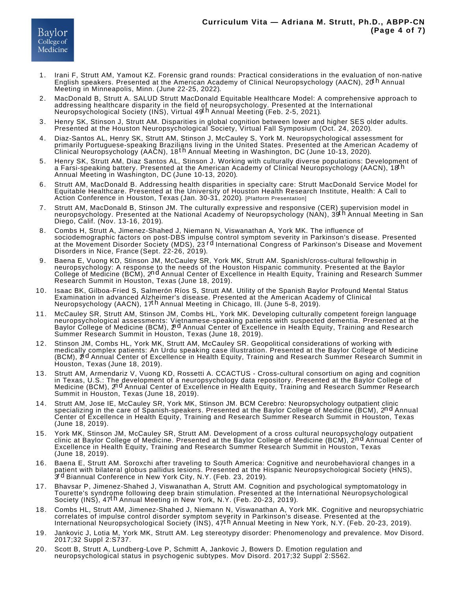- Irani F, Strutt AM, Yamout KZ. Forensic grand rounds: Practical considerations in the evaluation of non-native<br>English speakers. Presented at the American Academy of Clinical Neuropsychology (AACN), 20<sup>th</sup> Annual Meeting in Minneapolis, Minn. (June 22-25, 2022). 1.
- MacDonald B, Strutt A. SALUD Strutt MacDonald Equitable Healthcare Model: A comprehensive approach to addressing healthcare disparity in the field of neuropsychology. Presented at the International<br>Neuropsychological Society (INS), Virtual 49<sup>t h</sup> Annual Meeting (Feb. 2-5, 2021).  $2^{\circ}$
- Henry SK, Stinson J, Strutt AM. Disparities in global cognition between lower and higher SES older adults. Presented at the Houston Neuropsychological Society, Virtual Fall Symposium (Oct. 24, 2020). 3.
- Diaz-Santos AL, Henry SK, Strutt AM, Stinson J, McCauley S, York M. Neuropsychological assessment for primarily Portuguese-speaking Brazilians living in the United States. Presented at the American Academy of<br>Clinical Neuropsychology (AACN), 18<sup>t h</sup> Annual Meeting in Washington, DC (June 10-13, 2020). 4.
- Henry SK, Strutt AM, Diaz Santos AL, Stinson J. Working with culturally diverse populations: Development of a Farsi-speaking battery. Presented at the American Academy of Clinical Neuropsychology (AACN), 18t h Annual Meeting in Washington, DC (June 10-13, 2020). 5.
- Strutt AM, MacDonald B. Addressing health disparities in specialty care: Strutt MacDonald Service Model for Equitable Healthcare. Presented at the University of Houston Health Research Institute, Health: A Call to Action Conference in Houston, Texas (Jan. 30-31, 2020). [Platform Presentation] 6.
- Strutt AM, MacDonald B, Stinson JM. The culturally expressive and responsive (CER) supervision model in<br>neuropsychology. Presented at the National Academy of Neuropsychology (NAN), 39<sup>t h</sup> Annual Meeting in San Diego, Calif. (Nov. 13-16, 2019). 7.
- Combs H, Strutt A, Jimenez-Shahed J, Niemann N, Viswanathan A, York MK. The influence of sociodemographic factors on post-DBS impulse control symptom severity in Parkinson's disease. Presented<br>at the Movement Disorder Society (MDS), 23 <sup>r d</sup> International Congress of Parkinson's Disease and Movement Disorders in Nice, France (Sept. 22-26, 2019). 8.
- Baena E, Vuong KD, Stinson JM, McCauley SR, York MK, Strutt AM. Spanish/cross-cultural fellowship in neuropsychology: A response to the needs of the Houston Hispanic community. Presented at the Baylor<br>College of Medicine (BCM), 2<sup>n d</sup> Annual Center of Excellence in Health Equity, Training and Research Summer Research Summit in Houston, Texas (June 18, 2019). 9.
- Isaac BK, Gilboa-Fried S, Salmerón Ríos S, Strutt AM. Utility of the Spanish Baylor Profound Mental Status Examination in advanced Alzheimer's disease. Presented at the American Academy of Clinical<br>Neuropsychology (AACN), 17<sup>t h</sup> Annual Meeting in Chicago, III. (June 5-8, 2019). 10.
- McCauley SR, Strutt AM, Stinson JM, Combs HL, York MK. Developing culturally competent foreign language neuropsychological assessments: Vietnamese-speaking patients with suspected dementia. Presented at the<br>Baylor College of Medicine (BCM), 2<sup>nd</sup> Annual Center of Excellence in Health Equity, Training and Research Summer Research Summit in Houston, Texas (June 18, 2019). 11.
- Stinson JM, Combs HL, York MK, Strutt AM, McCauley SR. Geopolitical considerations of working with medically complex patients: An Urdu speaking case illustration. Presented at the Baylor College of Medicine (BCM), 2<sup>nd</sup> Annual Center of Excellence in Health Equity, Training and Research Summer Research Summit in Houston, Texas (June 18, 2019). 12.
- Strutt AM, Armendariz V, Vuong KD, Rossetti A. CCACTUS Cross-cultural consortium on aging and cognition in Texas, U.S.: The development of a neuropsychology data repository. Presented at the Baylor College of Medicine (BCM), 2<sup>nd</sup> Annual Center of Excellence in Health Equity, Training and Research Summer Research Summit in Houston, Texas (June 18, 2019). 13.
- Strutt AM, Jose IE, McCauley SR, York MK, Stinson JM. BCM Cerebro: Neuropsychology outpatient clinic specializing in the care of Spanish-speakers. Presented at the Baylor College of Medicine (BCM), 2nd Annual Center of Excellence in Health Equity, Training and Research Summer Research Summit in Houston, Texas (June 18, 2019). 14.
- York MK, Stinson JM, McCauley SR, Strutt AM. Development of a cross cultural neuropsychology outpatient clinic at Baylor College of Medicine. Presented at the Baylor College of Medicine (BCM), 2n d Annual Center of Excellence in Health Equity, Training and Research Summer Research Summit in Houston, Texas (June 18, 2019). 15.
- Baena E, Strutt AM. Soroxchi after traveling to South America: Cognitive and neurobehavioral changes in a patient with bilateral globus pallidus Iesions. Presented at the Hispanic Neuropsychological Society (̄HNS),<br>3<sup>rd</sup> Biannual Conference in New York City, N.Y. (Feb. 23, 2019). 16.
- Bhavsar P, Jimenez-Shahed J, Viswanathan A, Strutt AM. Cognition and psychological symptomatology in Tourette's syndrome following deep brain stimulation. Presented at the International Neuropsychological<br>Society (INS), 47<sup>t h</sup> Annual Meeting in New York, N.Y. (Feb. 20-23, 2019). 17.
- Combs HL, Strutt AM, Jimenez-Shahed J, Niemann N, Viswanathan A, York MK. Cognitive and neuropsychiatric correlates of impulse control disorder symptom severity in Parkinson's disease. Presented at the<br>International Neuropsychological Society (INS), 47<sup>t h</sup> Annual Meeting in New York, N.Y. (Feb. 20-23, 2019). 18.
- Jankovic J, Lotia M, York MK, Strutt AM. Leg stereotypy disorder: Phenomenology and prevalence. Mov Disord. 2017;32 Suppl 2:S737. 19.
- Scott B, Strutt A, Lundberg-Love P, Schmitt A, Jankovic J, Bowers D. Emotion regulation and neuropsychological status in psychogenic subtypes. Mov Disord. 2017;32 Suppl 2:S562. 20.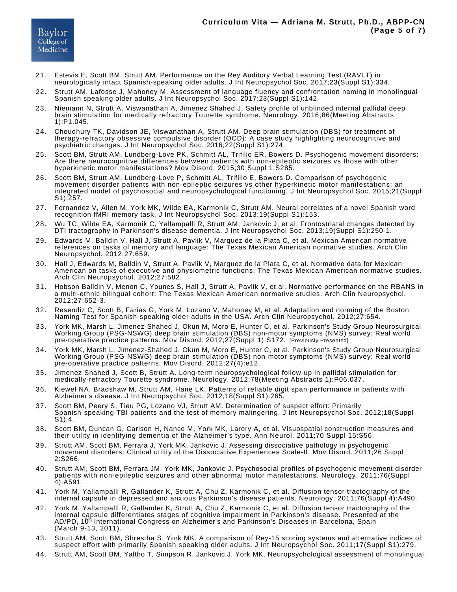- Estevis E, Scott BM, Strutt AM. Performance on the Rey Auditory Verbal Learning Test (RAVLT) in neurologically intact Spanish-speaking older adults. J Int Neuropsychol Soc. 2017;23(Suppl S1):334. 21.
- Strutt AM, Lafosse J, Mahoney M. Assessment of language fluency and confrontation naming in monolingual Spanish speaking older adults. J Int Neuropsychol Soc. 2017;23(Suppl S1):142. 22.
- Niemann N, Strutt A, Viswanathan A, Jimenez Shahed J. Safety profile of unblinded internal pallidal deep brain stimulation for medically refractory Tourette syndrome. Neurology. 2016;86(Meeting Abstracts 1):P1.045. 23.
- Choudhury TK, Davidson JE, Viswanathan A, Strutt AM. Deep brain stimulation (DBS) for treatment of therapy-refractory obsessive compulsive disorder (OCD): A case study highlighting neurocognitive and psychiatric changes. J Int Neuropsychol Soc. 2016;22(Suppl S1):274. 24.
- Scott BM, Strutt AM, Lundberg-Love PK, Schmitt AL, Trifilio ER, Bowers D. Psychogenic movement disorders: Are there neurocognitive differences between patients with non-epileptic seizures vs those with other hyperkinetic motor manifestations? Mov Disord. 2015;30 Suppl 1:S285. 25.
- Scott BM, Strutt AM, Lundberg-Love P, Schmitt AL, Trifilio E, Bowers D. Comparison of psychogenic movement disorder patients with non-epileptic seizures vs other hyperkinetic motor manifestations: an integrated model of psychosocial and neuropsychological functioning. J Int Neuropsychol Soc. 2015;21(Suppl S1):257. 26.
- 27. Fernandez V, Allen M, York MK, Wilde EA, Karmonik C, Strutt AM. Neural correlates of a novel Spanish word recognition fMRI memory task. J Int Neuropsychol Soc. 2013;19(Suppl S1):153.
- 28. Wu TC, Wilde EA, Karmonik C, Yallampalli R, Strutt AM, Jankovic J, et al. Frontostriatal changes detected by DTI tractography in Parkinson's disease dementia. J Int Neuropsychol Soc. 2013;19(Suppl S1):250-1.
- Edwards M, Balldin V, Hall J, Strutt A, Pavlik V, Marquez de la Plata C, et al. Mexican American normative references on tasks of memory and language: The Texas Mexican American normative studies. Arch Clin Neuropsychol. 2012;27:659. 29.
- Hall J, Edwards M, Balldin V, Strutt A, Pavlik V, Marquez de la Plata C, et al. Normative data for Mexican American on tasks of executive and physiometric functions: The Texas Mexican American normative studies. Arch Clin Neuropsychol. 2012;27:582. 30.
- 31. Hobson Balldin V, Menon C, Younes S, Hall J, Strutt A, Pavlik V, et al. Normative performance on the RBANS in a multi-ethnic bilingual cohort: The Texas Mexican American normative studies. Arch Clin Neuropsychol. 2012;27:652-3.
- 32. Resendiz C, Scott B, Farias G, York M, Lozano V, Mahoney M, et al. Adaptation and norming of the Boston Naming Test for Spanish-speaking older adults in the USA. Arch Clin Neuropsychol. 2012;27:654.
- York MK, Marsh L, Jimenez-Shahed J, Okun M, Moro E, Hunter C, et al. Parkinson's Study Group Neurosurgical Working Group (PSG-NSWG) deep brain stimulation (DBS) non-motor symptoms (NMS) survey: Real world pre-operative practice patterns. Mov Disord. 2012;27(Suppl 1):S172. [Previously Presented] 33.
- York MK, Marsh L, Jimenez-Shahed J, Okun M, Moro E, Hunter C, et al. Parkinson's Study Group Neurosurgical Working Group (PSG-NSWG) deep brain stimulation (DBS) non-motor symptoms (NMS) survey: Real world pre-operative practice patterns. Mov Disord. 2012;27(4):e12. 34.
- Jimenez Shahed J, Scott B, Strutt A. Long-term neuropsychological follow-up in pallidal stimulation for medically-refractory Tourette syndrome. Neurology. 2012;78(Meeting Abstracts 1):P06.037. 35.
- Kiewel NA, Bradshaw M, Strutt AM, Hane LK. Patterns of reliable digit span performance in patients with Alzheimer's disease. J Int Neuropsychol Soc. 2012;18(Suppl S1):265. 36.
- Scott BM, Peery S, Tieu PG, Lozano VJ, Strutt AM. Determination of suspect effort: Primarily Spanish-speaking TBI patients and the test of memory malingering. J Int Neuropsychol Soc. 2012;18(Suppl S1):4. 37.
- Scott BM, Duncan G, Carlson H, Nance M, York MK, Larery A, et al. Visuospatial construction measures and their utility in identifying dementia of the Alzheimer's type. Ann Neurol. 2011;70 Suppl 15:S56. 38.
- Strutt AM, Scott BM, Ferrara J, York MK, Jankovic J. Assessing dissociative pathology in psychogenic movement disorders: Clinical utility of the Dissociative Experiences Scale-II. Mov Disord. 2011;26 Suppl 2:S266. 39.
- Strutt AM, Scott BM, Ferrara JM, York MK, Jankovic J. Psychosocial profiles of psychogenic movement disorder patients with non-epileptic seizures and other abnormal motor manifestations. Neurology. 2011;76(Suppl 4):A591. 40.
- York M, Yallampalli R, Gallander K, Strutt A, Chu Z, Karmonik C, et al. Diffusion tensor tractography of the internal capsule in depressed and anxious Parkinson's disease patients. Neurology. 2011;76(Suppl 4):A490. 41.
- York M, Yallampalli R, Gallander K, Strutt A, Chu Z, Karmonik C, et al. Diffusion tensor tractography of the internal capsule differentiates stages of cognitive impairment in Parkinson's disease. Presented at the AD/PD, 10<sup>h</sup> International Congress on Alzheimer's and Parkinson's Diseases in Barcelona, Spain (March 9-13, 2011). 42.
- Strutt AM, Scott BM, Shrestha S, York MK. A comparison of Rey-15 scoring systems and alternative indices of suspect effort with primarily Spanish speaking older adults. J Int Neuropsychol Soc. 2011;17(Suppl S1):279. 43.
- Strutt AM, Scott BM, Yaltho T, Simpson R, Jankovic J, York MK. Neuropsychological assessment of monolingual 44.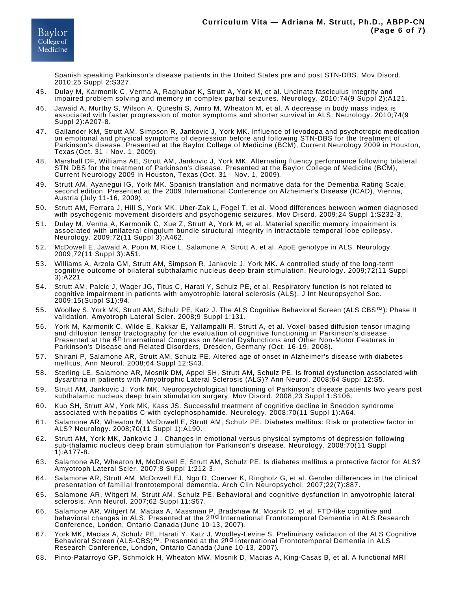Spanish speaking Parkinson's disease patients in the United States pre and post STN-DBS. Mov Disord. 2010;25 Suppl 2:S327.

- 45. Dulay M, Karmonik C, Verma A, Raghubar K, Strutt A, York M, et al. Uncinate fasciculus integrity and impaired problem solving and memory in complex partial seizures. Neurology. 2010;74(9 Suppl 2):A121.
- Jawaid A, Murthy S, Wilson A, Qureshi S, Amro M, Wheaton M, et al. A decrease in body mass index is associated with faster progression of motor symptoms and shorter survival in ALS. Neurology. 2010;74(9 Suppl 2):A207-8. 46.
- 47. Gallander KM, Strutt AM, Simpson R, Jankovic J, York MK. Influence of levodopa and psychotropic medication on emotional and physical symptoms of depression before and following STN-DBS for the treatment of Parkinson's disease. Presented at the Baylor College of Medicine (BCM), Current Neurology 2009 in Houston, Texas (Oct. 31 - Nov. 1, 2009).
- 48. Marshall DF, Williams AE, Strutt AM, Jankovic J, York MK. Alternating fluency performance following bilateral STN DBS for the treatment of Parkinson's disease. Presented at the Baylor College of Medicine (BCM), Current Neurology 2009 in Houston, Texas (Oct. 31 - Nov. 1, 2009).
- 49. Strutt AM, Ayanegui IG, York MK. Spanish translation and normative data for the Dementia Rating Scale, second edition. Presented at the 2009 International Conference on Alzheimer's Disease (ICAD), Vienna, Austria (July 11-16, 2009).
- 50. Strutt AM, Ferrara J, Hill S, York MK, Uber-Zak L, Fogel T, et al. Mood differences between women diagnosed with psychogenic movement disorders and psychogenic seizures. Mov Disord. 2009;24 Suppl 1:S232-3.
- Dulay M, Verma A, Karmonik C, Xue Z, Strutt A, York M, et al. Material specific memory impairment is associated with unilateral cingulum bundle structural integrity in intractable temporal lobe epilepsy. Neurology. 2009;72(11 Suppl 3):A462. 51.
- McDowell E, Jawaid A, Poon M, Rice L, Salamone A, Strutt A, et al. ApoE genotype in ALS. Neurology. 2009;72(11 Suppl 3):A51. 52.
- 53. Williams A, Arzola GM, Strutt AM, Simpson R, Jankovic J, York MK. A controlled study of the long-term cognitive outcome of bilateral subthalamic nucleus deep brain stimulation. Neurology. 2009;72(11 Suppl 3):A221.
- Strutt AM, Palcic J, Wager JG, Titus C, Harati Y, Schulz PE, et al. Respiratory function is not related to cognitive impairment in patients with amyotrophic lateral sclerosis (ALS). J Int Neuropsychol Soc. 2009;15(Suppl S1):94. 54.
- Woolley S, York MK, Strutt AM, Schulz PE, Katz J. The ALS Cognitive Behavioral Screen (ALS CBS™): Phase II validation. Amyotroph Lateral Scler. 2008;9 Suppl 1:131. 55.
- 56. York M, Karmonik C, Wilde E, Kakkar E, Yallampalli R, Strutt A, et al. Voxel-based diffusion tensor imaging and diffusion tensor tractography for the evaluation of cognitive functioning in Parkinson's disease. Presented at the 6<sup>h</sup> International Congress on Mental Dysfunctions and Other Non-Motor Features in Parkinson's Disease and Related Disorders, Dresden, Germany (Oct. 16-19, 2008).
- Shirani P, Salamone AR, Strutt AM, Schulz PE. Altered age of onset in Alzheimer's disease with diabetes mellitus. Ann Neurol. 2008;64 Suppl 12:S43. 57.
- Sterling LE, Salamone AR, Mosnik DM, Appel SH, Strutt AM, Schulz PE. Is frontal dysfunction associated with dysarthria in patients with Amyotrophic Lateral Sclerosis (ALS)? Ann Neurol. 2008;64 Suppl 12:S5. 58.
- Strutt AM, Jankovic J, York MK. Neuropsychological functioning of Parkinson's disease patients two years post subthalamic nucleus deep brain stimulation surgery. Mov Disord. 2008;23 Suppl 1:S106. 59.
- 60. Kuo SH, Strutt AM, York MK, Kass JS. Successful treatment of cognitive decline in Sneddon syndrome associated with hepatitis C with cyclophosphamide. Neurology. 2008;70(11 Suppl 1):A64.
- Salamone AR, Wheaton M, McDowell E, Strutt AM, Schulz PE. Diabetes mellitus: Risk or protective factor in ALS? Neurology. 2008;70(11 Suppl 1):A190. 61.
- 62. Strutt AM, York MK, Jankovic J . Changes in emotional versus physical symptoms of depression following sub-thalamic nucleus deep brain stimulation for Parkinson's disease. Neurology. 2008;70(11 Suppl 1):A177-8.
- Salamone AR, Wheaton M, McDowell E, Strutt AM, Schulz PE. Is diabetes mellitus a protective factor for ALS? Amyotroph Lateral Scler. 2007;8 Suppl 1:212-3. 63.
- 64. Salamone AR, Strutt AM, McDowell EJ, Ngo D, Coerver K, Ringholz G, et al. Gender differences in the clinical presentation of familial frontotemporal dementia. Arch Clin Neuropsychol. 2007;22(7):887.
- Salamone AR, Witgert M, Strutt AM, Schulz PE. Behavioral and cognitive dysfunction in amyotrophic lateral sclerosis. Ann Neurol. 2007;62 Suppl 11:S57. 65.
- Salamone AR, Witgert M, Macias A, Massman P, Bradshaw M, Mosnik D, et al. FTD-like cognitive and behavioral changes in ALS. Presented at the 2n d International Frontotemporal Dementia in ALS Research Conference, London, Ontario Canada (June 10-13, 2007). 66.
- York MK, Macias A, Schulz PE, Harati Y, Katz J, Woolley-Levine S. Preliminary validation of the ALS Cognitive Behavioral Screen (ALS-CBS)™. Presented at the 2n d International Frontotemporal Dementia in ALS Research Conference, London, Ontario Canada (June 10-13, 2007). 67.
- 68. Pinto-Patarroyo GP, Schmolck H, Wheaton MW, Mosnik D, Macias A, King-Casas B, et al. A functional MRI